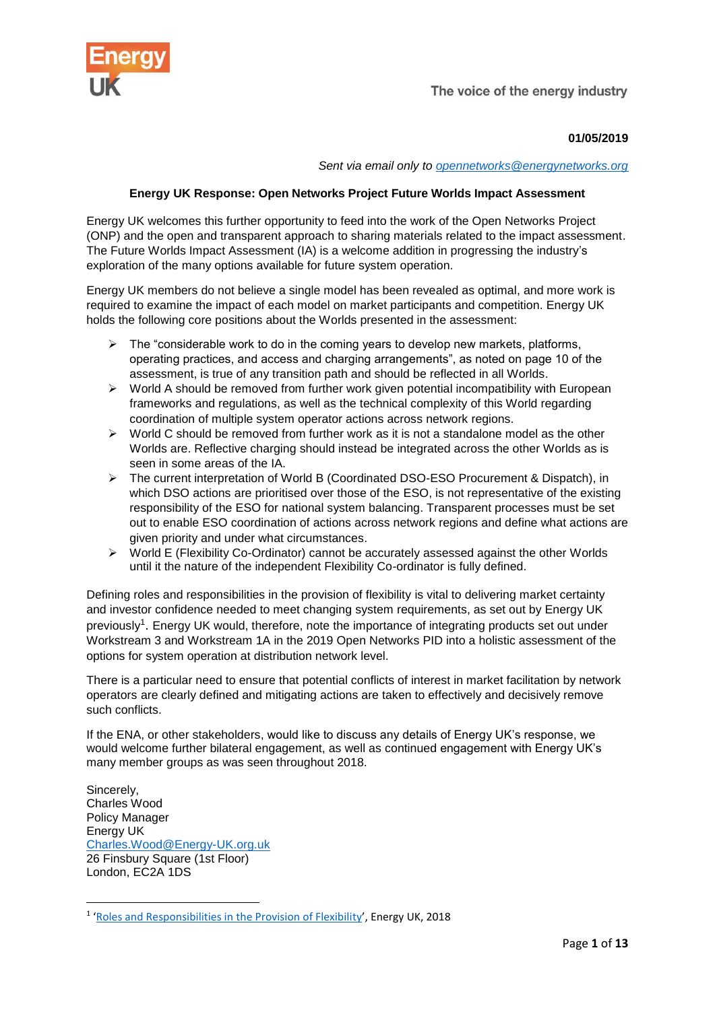

The voice of the energy industry

# **01/05/2019**

*Sent via email only to [opennetworks@energynetworks.org](mailto:opennetworks@energynetworks.org)*

# **Energy UK Response: Open Networks Project Future Worlds Impact Assessment**

Energy UK welcomes this further opportunity to feed into the work of the Open Networks Project (ONP) and the open and transparent approach to sharing materials related to the impact assessment. The Future Worlds Impact Assessment (IA) is a welcome addition in progressing the industry's exploration of the many options available for future system operation.

Energy UK members do not believe a single model has been revealed as optimal, and more work is required to examine the impact of each model on market participants and competition. Energy UK holds the following core positions about the Worlds presented in the assessment:

- $\triangleright$  The "considerable work to do in the coming years to develop new markets, platforms, operating practices, and access and charging arrangements", as noted on page 10 of the assessment, is true of any transition path and should be reflected in all Worlds.
- $\triangleright$  World A should be removed from further work given potential incompatibility with European frameworks and regulations, as well as the technical complexity of this World regarding coordination of multiple system operator actions across network regions.
- $\triangleright$  World C should be removed from further work as it is not a standalone model as the other Worlds are. Reflective charging should instead be integrated across the other Worlds as is seen in some areas of the IA.
- The current interpretation of World B (Coordinated DSO-ESO Procurement & Dispatch), in which DSO actions are prioritised over those of the ESO, is not representative of the existing responsibility of the ESO for national system balancing. Transparent processes must be set out to enable ESO coordination of actions across network regions and define what actions are given priority and under what circumstances.
- World E (Flexibility Co-Ordinator) cannot be accurately assessed against the other Worlds until it the nature of the independent Flexibility Co-ordinator is fully defined.

Defining roles and responsibilities in the provision of flexibility is vital to delivering market certainty and investor confidence needed to meet changing system requirements, as set out by Energy UK previously<sup>1</sup>. Energy UK would, therefore, note the importance of integrating products set out under Workstream 3 and Workstream 1A in the 2019 Open Networks PID into a holistic assessment of the options for system operation at distribution network level.

There is a particular need to ensure that potential conflicts of interest in market facilitation by network operators are clearly defined and mitigating actions are taken to effectively and decisively remove such conflicts.

If the ENA, or other stakeholders, would like to discuss any details of Energy UK's response, we would welcome further bilateral engagement, as well as continued engagement with Energy UK's many member groups as was seen throughout 2018.

Sincerely, Charles Wood Policy Manager Energy UK [Charles.Wood@Energy-UK.org.uk](mailto:Charles.Wood@Energy-UK.org.uk) 26 Finsbury Square (1st Floor) London, EC2A 1DS

**<sup>.</sup>** <sup>1</sup> '[Roles and Responsibilities in the Provision of Flexibility](https://www.energy-uk.org.uk/publication.html?task=file.download&id=6798)', Energy UK, 2018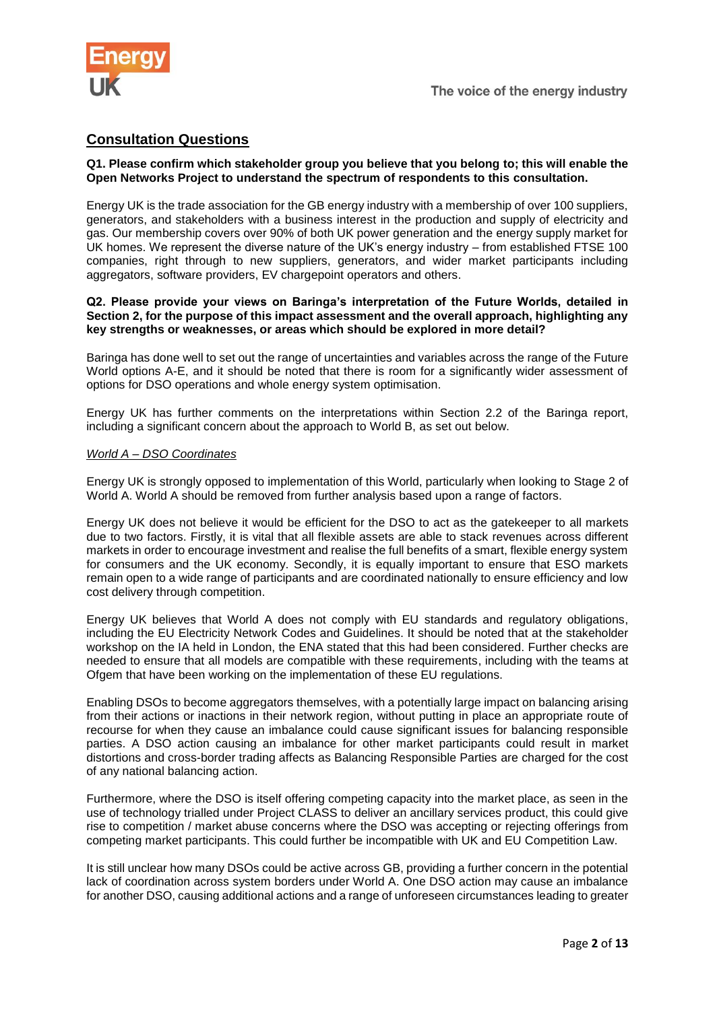

# **Consultation Questions**

# **Q1. Please confirm which stakeholder group you believe that you belong to; this will enable the Open Networks Project to understand the spectrum of respondents to this consultation.**

Energy UK is the trade association for the GB energy industry with a membership of over 100 suppliers, generators, and stakeholders with a business interest in the production and supply of electricity and gas. Our membership covers over 90% of both UK power generation and the energy supply market for UK homes. We represent the diverse nature of the UK's energy industry – from established FTSE 100 companies, right through to new suppliers, generators, and wider market participants including aggregators, software providers, EV chargepoint operators and others.

#### **Q2. Please provide your views on Baringa's interpretation of the Future Worlds, detailed in Section 2, for the purpose of this impact assessment and the overall approach, highlighting any key strengths or weaknesses, or areas which should be explored in more detail?**

Baringa has done well to set out the range of uncertainties and variables across the range of the Future World options A-E, and it should be noted that there is room for a significantly wider assessment of options for DSO operations and whole energy system optimisation.

Energy UK has further comments on the interpretations within Section 2.2 of the Baringa report, including a significant concern about the approach to World B, as set out below.

#### *World A – DSO Coordinates*

Energy UK is strongly opposed to implementation of this World, particularly when looking to Stage 2 of World A. World A should be removed from further analysis based upon a range of factors.

Energy UK does not believe it would be efficient for the DSO to act as the gatekeeper to all markets due to two factors. Firstly, it is vital that all flexible assets are able to stack revenues across different markets in order to encourage investment and realise the full benefits of a smart, flexible energy system for consumers and the UK economy. Secondly, it is equally important to ensure that ESO markets remain open to a wide range of participants and are coordinated nationally to ensure efficiency and low cost delivery through competition.

Energy UK believes that World A does not comply with EU standards and regulatory obligations, including the EU Electricity Network Codes and Guidelines. It should be noted that at the stakeholder workshop on the IA held in London, the ENA stated that this had been considered. Further checks are needed to ensure that all models are compatible with these requirements, including with the teams at Ofgem that have been working on the implementation of these EU regulations.

Enabling DSOs to become aggregators themselves, with a potentially large impact on balancing arising from their actions or inactions in their network region, without putting in place an appropriate route of recourse for when they cause an imbalance could cause significant issues for balancing responsible parties. A DSO action causing an imbalance for other market participants could result in market distortions and cross-border trading affects as Balancing Responsible Parties are charged for the cost of any national balancing action.

Furthermore, where the DSO is itself offering competing capacity into the market place, as seen in the use of technology trialled under Project CLASS to deliver an ancillary services product, this could give rise to competition / market abuse concerns where the DSO was accepting or rejecting offerings from competing market participants. This could further be incompatible with UK and EU Competition Law.

It is still unclear how many DSOs could be active across GB, providing a further concern in the potential lack of coordination across system borders under World A. One DSO action may cause an imbalance for another DSO, causing additional actions and a range of unforeseen circumstances leading to greater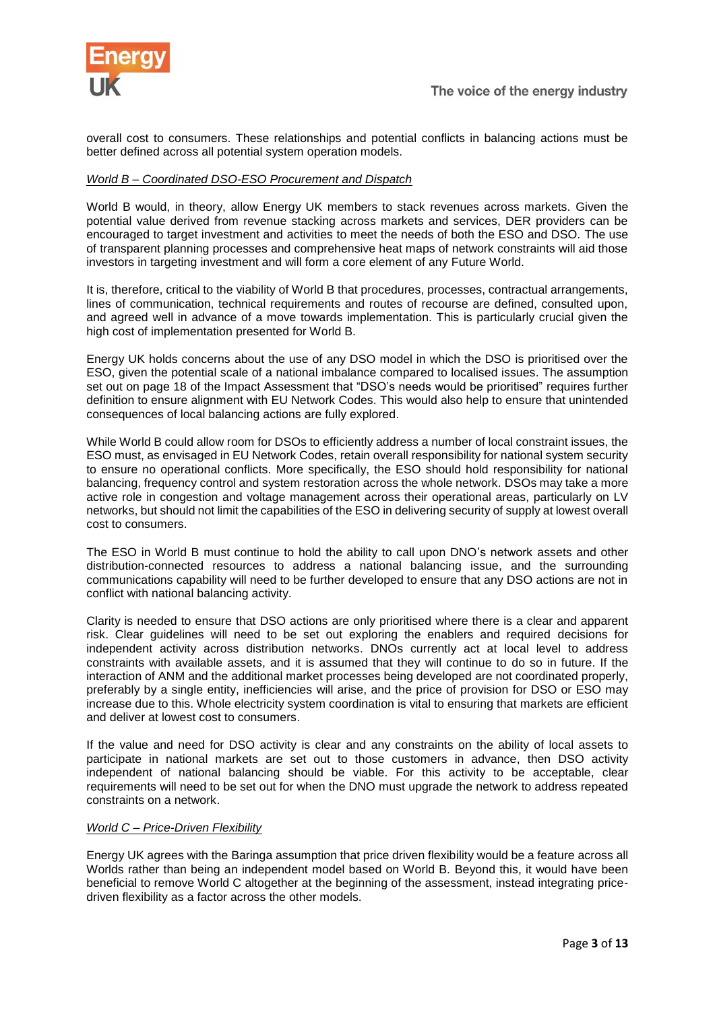

overall cost to consumers. These relationships and potential conflicts in balancing actions must be better defined across all potential system operation models.

# *World B – Coordinated DSO-ESO Procurement and Dispatch*

World B would, in theory, allow Energy UK members to stack revenues across markets. Given the potential value derived from revenue stacking across markets and services, DER providers can be encouraged to target investment and activities to meet the needs of both the ESO and DSO. The use of transparent planning processes and comprehensive heat maps of network constraints will aid those investors in targeting investment and will form a core element of any Future World.

It is, therefore, critical to the viability of World B that procedures, processes, contractual arrangements, lines of communication, technical requirements and routes of recourse are defined, consulted upon, and agreed well in advance of a move towards implementation. This is particularly crucial given the high cost of implementation presented for World B.

Energy UK holds concerns about the use of any DSO model in which the DSO is prioritised over the ESO, given the potential scale of a national imbalance compared to localised issues. The assumption set out on page 18 of the Impact Assessment that "DSO's needs would be prioritised" requires further definition to ensure alignment with EU Network Codes. This would also help to ensure that unintended consequences of local balancing actions are fully explored.

While World B could allow room for DSOs to efficiently address a number of local constraint issues, the ESO must, as envisaged in EU Network Codes, retain overall responsibility for national system security to ensure no operational conflicts. More specifically, the ESO should hold responsibility for national balancing, frequency control and system restoration across the whole network. DSOs may take a more active role in congestion and voltage management across their operational areas, particularly on LV networks, but should not limit the capabilities of the ESO in delivering security of supply at lowest overall cost to consumers.

The ESO in World B must continue to hold the ability to call upon DNO's network assets and other distribution-connected resources to address a national balancing issue, and the surrounding communications capability will need to be further developed to ensure that any DSO actions are not in conflict with national balancing activity.

Clarity is needed to ensure that DSO actions are only prioritised where there is a clear and apparent risk. Clear guidelines will need to be set out exploring the enablers and required decisions for independent activity across distribution networks. DNOs currently act at local level to address constraints with available assets, and it is assumed that they will continue to do so in future. If the interaction of ANM and the additional market processes being developed are not coordinated properly, preferably by a single entity, inefficiencies will arise, and the price of provision for DSO or ESO may increase due to this. Whole electricity system coordination is vital to ensuring that markets are efficient and deliver at lowest cost to consumers.

If the value and need for DSO activity is clear and any constraints on the ability of local assets to participate in national markets are set out to those customers in advance, then DSO activity independent of national balancing should be viable. For this activity to be acceptable, clear requirements will need to be set out for when the DNO must upgrade the network to address repeated constraints on a network.

#### *World C – Price-Driven Flexibility*

Energy UK agrees with the Baringa assumption that price driven flexibility would be a feature across all Worlds rather than being an independent model based on World B. Beyond this, it would have been beneficial to remove World C altogether at the beginning of the assessment, instead integrating pricedriven flexibility as a factor across the other models.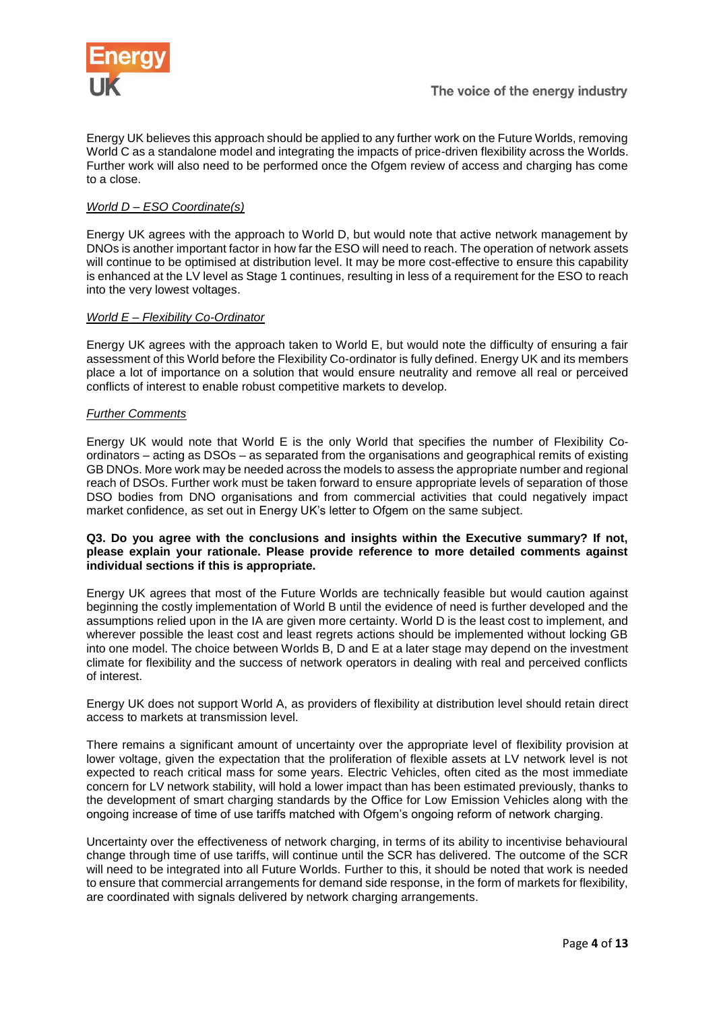

Energy UK believes this approach should be applied to any further work on the Future Worlds, removing World C as a standalone model and integrating the impacts of price-driven flexibility across the Worlds. Further work will also need to be performed once the Ofgem review of access and charging has come to a close.

# *World D – ESO Coordinate(s)*

Energy UK agrees with the approach to World D, but would note that active network management by DNOs is another important factor in how far the ESO will need to reach. The operation of network assets will continue to be optimised at distribution level. It may be more cost-effective to ensure this capability is enhanced at the LV level as Stage 1 continues, resulting in less of a requirement for the ESO to reach into the very lowest voltages.

# *World E – Flexibility Co-Ordinator*

Energy UK agrees with the approach taken to World E, but would note the difficulty of ensuring a fair assessment of this World before the Flexibility Co-ordinator is fully defined. Energy UK and its members place a lot of importance on a solution that would ensure neutrality and remove all real or perceived conflicts of interest to enable robust competitive markets to develop.

# *Further Comments*

Energy UK would note that World E is the only World that specifies the number of Flexibility Coordinators – acting as DSOs – as separated from the organisations and geographical remits of existing GB DNOs. More work may be needed across the models to assess the appropriate number and regional reach of DSOs. Further work must be taken forward to ensure appropriate levels of separation of those DSO bodies from DNO organisations and from commercial activities that could negatively impact market confidence, as set out in Energy UK's letter to Ofgem on the same subject.

### **Q3. Do you agree with the conclusions and insights within the Executive summary? If not, please explain your rationale. Please provide reference to more detailed comments against individual sections if this is appropriate.**

Energy UK agrees that most of the Future Worlds are technically feasible but would caution against beginning the costly implementation of World B until the evidence of need is further developed and the assumptions relied upon in the IA are given more certainty. World D is the least cost to implement, and wherever possible the least cost and least regrets actions should be implemented without locking GB into one model. The choice between Worlds B, D and E at a later stage may depend on the investment climate for flexibility and the success of network operators in dealing with real and perceived conflicts of interest.

Energy UK does not support World A, as providers of flexibility at distribution level should retain direct access to markets at transmission level.

There remains a significant amount of uncertainty over the appropriate level of flexibility provision at lower voltage, given the expectation that the proliferation of flexible assets at LV network level is not expected to reach critical mass for some years. Electric Vehicles, often cited as the most immediate concern for LV network stability, will hold a lower impact than has been estimated previously, thanks to the development of smart charging standards by the Office for Low Emission Vehicles along with the ongoing increase of time of use tariffs matched with Ofgem's ongoing reform of network charging.

Uncertainty over the effectiveness of network charging, in terms of its ability to incentivise behavioural change through time of use tariffs, will continue until the SCR has delivered. The outcome of the SCR will need to be integrated into all Future Worlds. Further to this, it should be noted that work is needed to ensure that commercial arrangements for demand side response, in the form of markets for flexibility, are coordinated with signals delivered by network charging arrangements.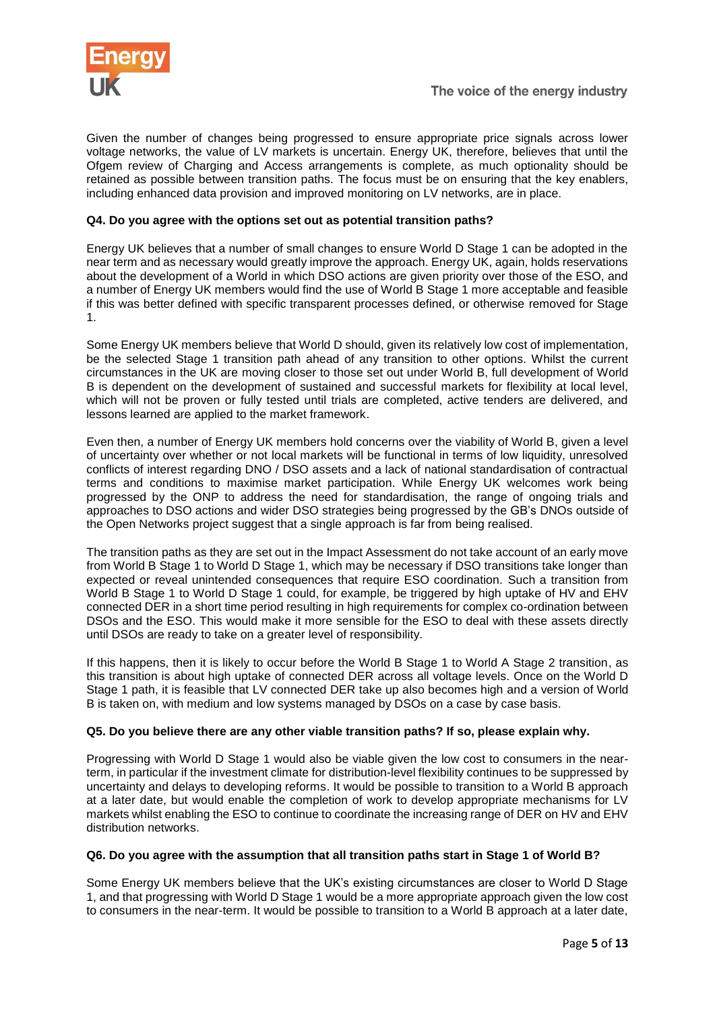

Given the number of changes being progressed to ensure appropriate price signals across lower voltage networks, the value of LV markets is uncertain. Energy UK, therefore, believes that until the Ofgem review of Charging and Access arrangements is complete, as much optionality should be retained as possible between transition paths. The focus must be on ensuring that the key enablers, including enhanced data provision and improved monitoring on LV networks, are in place.

# **Q4. Do you agree with the options set out as potential transition paths?**

Energy UK believes that a number of small changes to ensure World D Stage 1 can be adopted in the near term and as necessary would greatly improve the approach. Energy UK, again, holds reservations about the development of a World in which DSO actions are given priority over those of the ESO, and a number of Energy UK members would find the use of World B Stage 1 more acceptable and feasible if this was better defined with specific transparent processes defined, or otherwise removed for Stage 1.

Some Energy UK members believe that World D should, given its relatively low cost of implementation, be the selected Stage 1 transition path ahead of any transition to other options. Whilst the current circumstances in the UK are moving closer to those set out under World B, full development of World B is dependent on the development of sustained and successful markets for flexibility at local level, which will not be proven or fully tested until trials are completed, active tenders are delivered, and lessons learned are applied to the market framework.

Even then, a number of Energy UK members hold concerns over the viability of World B, given a level of uncertainty over whether or not local markets will be functional in terms of low liquidity, unresolved conflicts of interest regarding DNO / DSO assets and a lack of national standardisation of contractual terms and conditions to maximise market participation. While Energy UK welcomes work being progressed by the ONP to address the need for standardisation, the range of ongoing trials and approaches to DSO actions and wider DSO strategies being progressed by the GB's DNOs outside of the Open Networks project suggest that a single approach is far from being realised.

The transition paths as they are set out in the Impact Assessment do not take account of an early move from World B Stage 1 to World D Stage 1, which may be necessary if DSO transitions take longer than expected or reveal unintended consequences that require ESO coordination. Such a transition from World B Stage 1 to World D Stage 1 could, for example, be triggered by high uptake of HV and EHV connected DER in a short time period resulting in high requirements for complex co-ordination between DSOs and the ESO. This would make it more sensible for the ESO to deal with these assets directly until DSOs are ready to take on a greater level of responsibility.

If this happens, then it is likely to occur before the World B Stage 1 to World A Stage 2 transition, as this transition is about high uptake of connected DER across all voltage levels. Once on the World D Stage 1 path, it is feasible that LV connected DER take up also becomes high and a version of World B is taken on, with medium and low systems managed by DSOs on a case by case basis.

# **Q5. Do you believe there are any other viable transition paths? If so, please explain why.**

Progressing with World D Stage 1 would also be viable given the low cost to consumers in the nearterm, in particular if the investment climate for distribution-level flexibility continues to be suppressed by uncertainty and delays to developing reforms. It would be possible to transition to a World B approach at a later date, but would enable the completion of work to develop appropriate mechanisms for LV markets whilst enabling the ESO to continue to coordinate the increasing range of DER on HV and EHV distribution networks.

# **Q6. Do you agree with the assumption that all transition paths start in Stage 1 of World B?**

Some Energy UK members believe that the UK's existing circumstances are closer to World D Stage 1, and that progressing with World D Stage 1 would be a more appropriate approach given the low cost to consumers in the near-term. It would be possible to transition to a World B approach at a later date,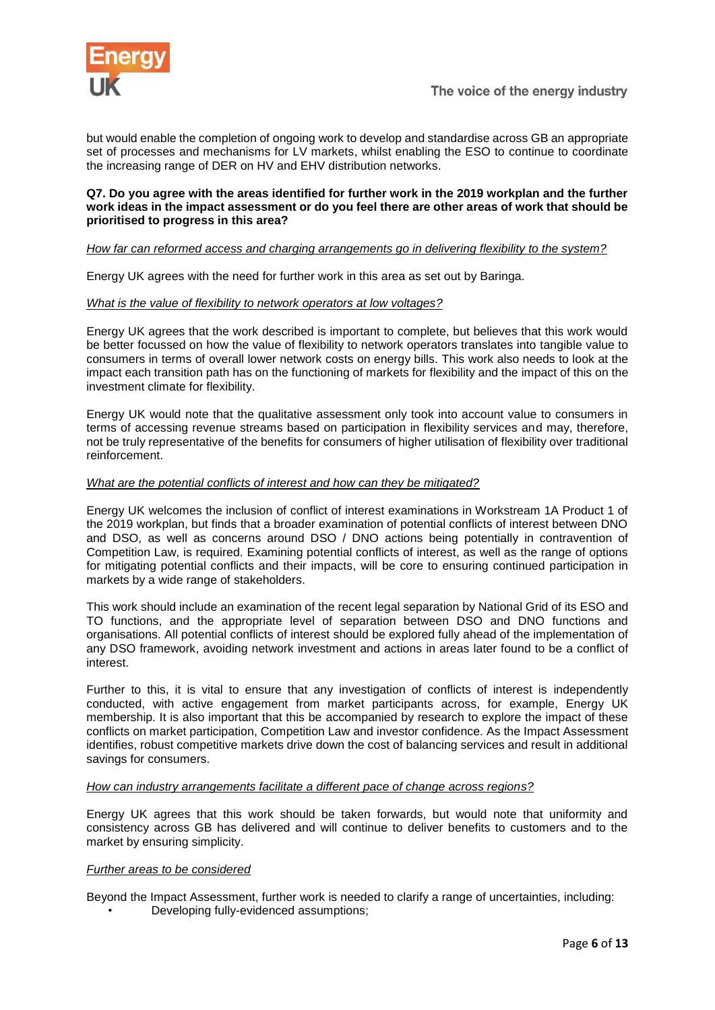

but would enable the completion of ongoing work to develop and standardise across GB an appropriate set of processes and mechanisms for LV markets, whilst enabling the ESO to continue to coordinate the increasing range of DER on HV and EHV distribution networks.

### **Q7. Do you agree with the areas identified for further work in the 2019 workplan and the further work ideas in the impact assessment or do you feel there are other areas of work that should be prioritised to progress in this area?**

# *How far can reformed access and charging arrangements go in delivering flexibility to the system?*

Energy UK agrees with the need for further work in this area as set out by Baringa.

#### *What is the value of flexibility to network operators at low voltages?*

Energy UK agrees that the work described is important to complete, but believes that this work would be better focussed on how the value of flexibility to network operators translates into tangible value to consumers in terms of overall lower network costs on energy bills. This work also needs to look at the impact each transition path has on the functioning of markets for flexibility and the impact of this on the investment climate for flexibility.

Energy UK would note that the qualitative assessment only took into account value to consumers in terms of accessing revenue streams based on participation in flexibility services and may, therefore, not be truly representative of the benefits for consumers of higher utilisation of flexibility over traditional reinforcement.

# *What are the potential conflicts of interest and how can they be mitigated?*

Energy UK welcomes the inclusion of conflict of interest examinations in Workstream 1A Product 1 of the 2019 workplan, but finds that a broader examination of potential conflicts of interest between DNO and DSO, as well as concerns around DSO / DNO actions being potentially in contravention of Competition Law, is required. Examining potential conflicts of interest, as well as the range of options for mitigating potential conflicts and their impacts, will be core to ensuring continued participation in markets by a wide range of stakeholders.

This work should include an examination of the recent legal separation by National Grid of its ESO and TO functions, and the appropriate level of separation between DSO and DNO functions and organisations. All potential conflicts of interest should be explored fully ahead of the implementation of any DSO framework, avoiding network investment and actions in areas later found to be a conflict of interest.

Further to this, it is vital to ensure that any investigation of conflicts of interest is independently conducted, with active engagement from market participants across, for example, Energy UK membership. It is also important that this be accompanied by research to explore the impact of these conflicts on market participation, Competition Law and investor confidence. As the Impact Assessment identifies, robust competitive markets drive down the cost of balancing services and result in additional savings for consumers.

#### *How can industry arrangements facilitate a different pace of change across regions?*

Energy UK agrees that this work should be taken forwards, but would note that uniformity and consistency across GB has delivered and will continue to deliver benefits to customers and to the market by ensuring simplicity.

#### *Further areas to be considered*

Beyond the Impact Assessment, further work is needed to clarify a range of uncertainties, including:

• Developing fully-evidenced assumptions;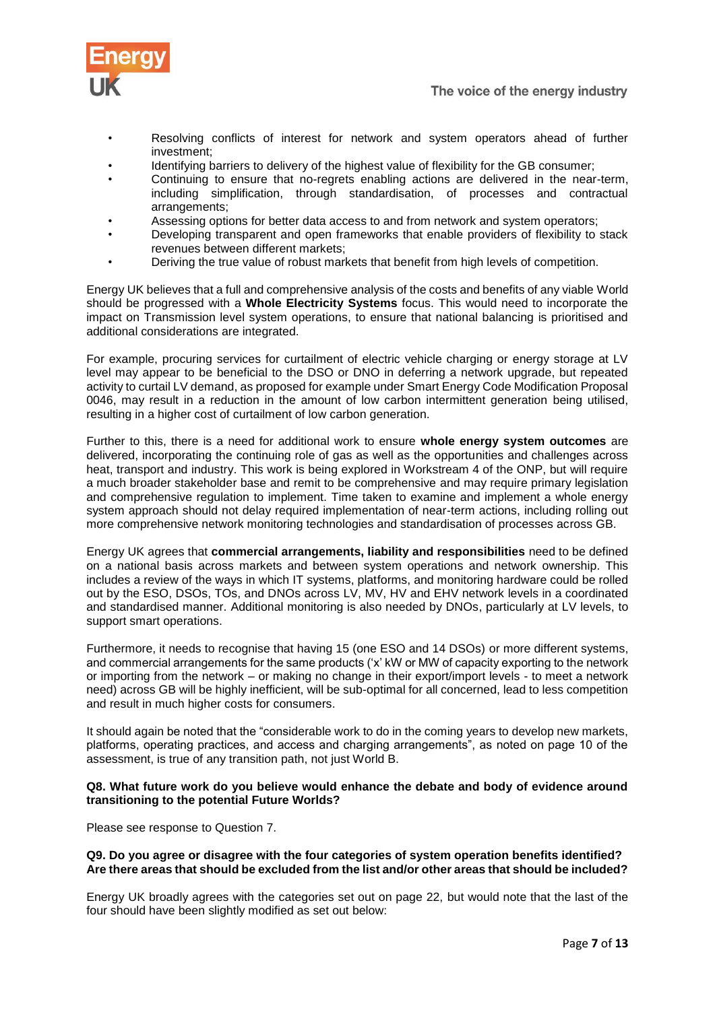

- Resolving conflicts of interest for network and system operators ahead of further investment;
- Identifying barriers to delivery of the highest value of flexibility for the GB consumer;
- Continuing to ensure that no-regrets enabling actions are delivered in the near-term, including simplification, through standardisation, of processes and contractual arrangements;
- Assessing options for better data access to and from network and system operators;
- Developing transparent and open frameworks that enable providers of flexibility to stack revenues between different markets;
- Deriving the true value of robust markets that benefit from high levels of competition.

Energy UK believes that a full and comprehensive analysis of the costs and benefits of any viable World should be progressed with a **Whole Electricity Systems** focus. This would need to incorporate the impact on Transmission level system operations, to ensure that national balancing is prioritised and additional considerations are integrated.

For example, procuring services for curtailment of electric vehicle charging or energy storage at LV level may appear to be beneficial to the DSO or DNO in deferring a network upgrade, but repeated activity to curtail LV demand, as proposed for example under Smart Energy Code Modification Proposal 0046, may result in a reduction in the amount of low carbon intermittent generation being utilised, resulting in a higher cost of curtailment of low carbon generation.

Further to this, there is a need for additional work to ensure **whole energy system outcomes** are delivered, incorporating the continuing role of gas as well as the opportunities and challenges across heat, transport and industry. This work is being explored in Workstream 4 of the ONP, but will require a much broader stakeholder base and remit to be comprehensive and may require primary legislation and comprehensive regulation to implement. Time taken to examine and implement a whole energy system approach should not delay required implementation of near-term actions, including rolling out more comprehensive network monitoring technologies and standardisation of processes across GB.

Energy UK agrees that **commercial arrangements, liability and responsibilities** need to be defined on a national basis across markets and between system operations and network ownership. This includes a review of the ways in which IT systems, platforms, and monitoring hardware could be rolled out by the ESO, DSOs, TOs, and DNOs across LV, MV, HV and EHV network levels in a coordinated and standardised manner. Additional monitoring is also needed by DNOs, particularly at LV levels, to support smart operations.

Furthermore, it needs to recognise that having 15 (one ESO and 14 DSOs) or more different systems, and commercial arrangements for the same products ('x' kW or MW of capacity exporting to the network or importing from the network – or making no change in their export/import levels - to meet a network need) across GB will be highly inefficient, will be sub-optimal for all concerned, lead to less competition and result in much higher costs for consumers.

It should again be noted that the "considerable work to do in the coming years to develop new markets, platforms, operating practices, and access and charging arrangements", as noted on page 10 of the assessment, is true of any transition path, not just World B.

#### **Q8. What future work do you believe would enhance the debate and body of evidence around transitioning to the potential Future Worlds?**

Please see response to Question 7.

#### **Q9. Do you agree or disagree with the four categories of system operation benefits identified? Are there areas that should be excluded from the list and/or other areas that should be included?**

Energy UK broadly agrees with the categories set out on page 22, but would note that the last of the four should have been slightly modified as set out below: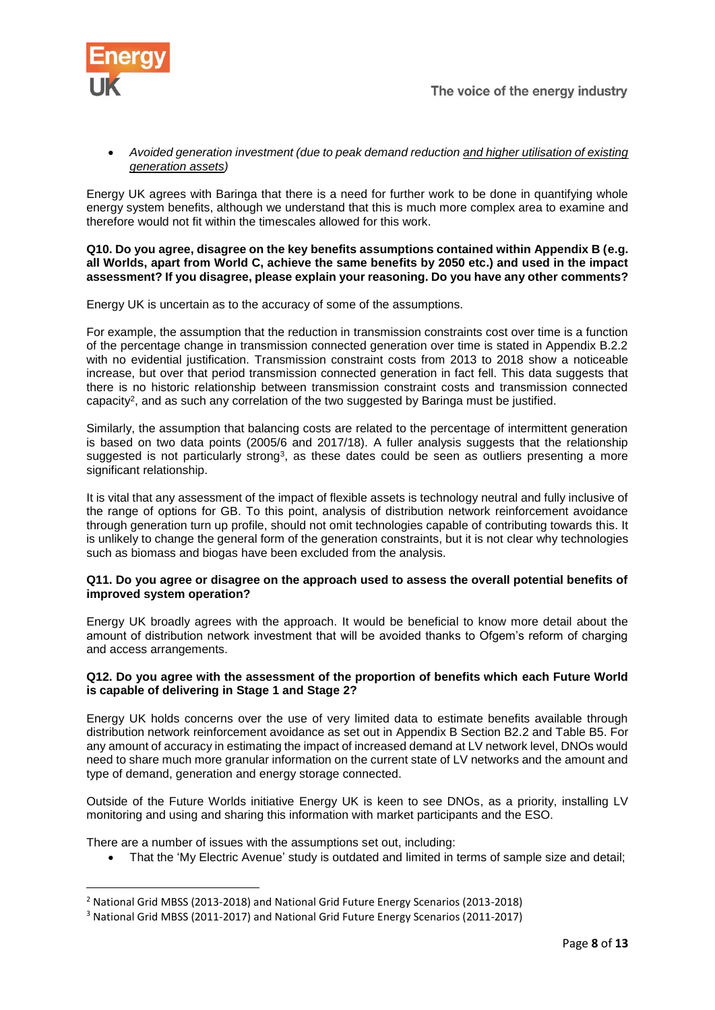

# *Avoided generation investment (due to peak demand reduction and higher utilisation of existing generation assets)*

Energy UK agrees with Baringa that there is a need for further work to be done in quantifying whole energy system benefits, although we understand that this is much more complex area to examine and therefore would not fit within the timescales allowed for this work.

#### **Q10. Do you agree, disagree on the key benefits assumptions contained within Appendix B (e.g. all Worlds, apart from World C, achieve the same benefits by 2050 etc.) and used in the impact assessment? If you disagree, please explain your reasoning. Do you have any other comments?**

Energy UK is uncertain as to the accuracy of some of the assumptions.

For example, the assumption that the reduction in transmission constraints cost over time is a function of the percentage change in transmission connected generation over time is stated in Appendix B.2.2 with no evidential justification. Transmission constraint costs from 2013 to 2018 show a noticeable increase, but over that period transmission connected generation in fact fell. This data suggests that there is no historic relationship between transmission constraint costs and transmission connected capacity<sup>2</sup>, and as such any correlation of the two suggested by Baringa must be justified.

Similarly, the assumption that balancing costs are related to the percentage of intermittent generation is based on two data points (2005/6 and 2017/18). A fuller analysis suggests that the relationship suggested is not particularly strong<sup>3</sup>, as these dates could be seen as outliers presenting a more significant relationship.

It is vital that any assessment of the impact of flexible assets is technology neutral and fully inclusive of the range of options for GB. To this point, analysis of distribution network reinforcement avoidance through generation turn up profile, should not omit technologies capable of contributing towards this. It is unlikely to change the general form of the generation constraints, but it is not clear why technologies such as biomass and biogas have been excluded from the analysis.

#### **Q11. Do you agree or disagree on the approach used to assess the overall potential benefits of improved system operation?**

Energy UK broadly agrees with the approach. It would be beneficial to know more detail about the amount of distribution network investment that will be avoided thanks to Ofgem's reform of charging and access arrangements.

# **Q12. Do you agree with the assessment of the proportion of benefits which each Future World is capable of delivering in Stage 1 and Stage 2?**

Energy UK holds concerns over the use of very limited data to estimate benefits available through distribution network reinforcement avoidance as set out in Appendix B Section B2.2 and Table B5. For any amount of accuracy in estimating the impact of increased demand at LV network level, DNOs would need to share much more granular information on the current state of LV networks and the amount and type of demand, generation and energy storage connected.

Outside of the Future Worlds initiative Energy UK is keen to see DNOs, as a priority, installing LV monitoring and using and sharing this information with market participants and the ESO.

There are a number of issues with the assumptions set out, including:

1

That the 'My Electric Avenue' study is outdated and limited in terms of sample size and detail;

<sup>2</sup> National Grid MBSS (2013-2018) and National Grid Future Energy Scenarios (2013-2018)

<sup>3</sup> National Grid MBSS (2011-2017) and National Grid Future Energy Scenarios (2011-2017)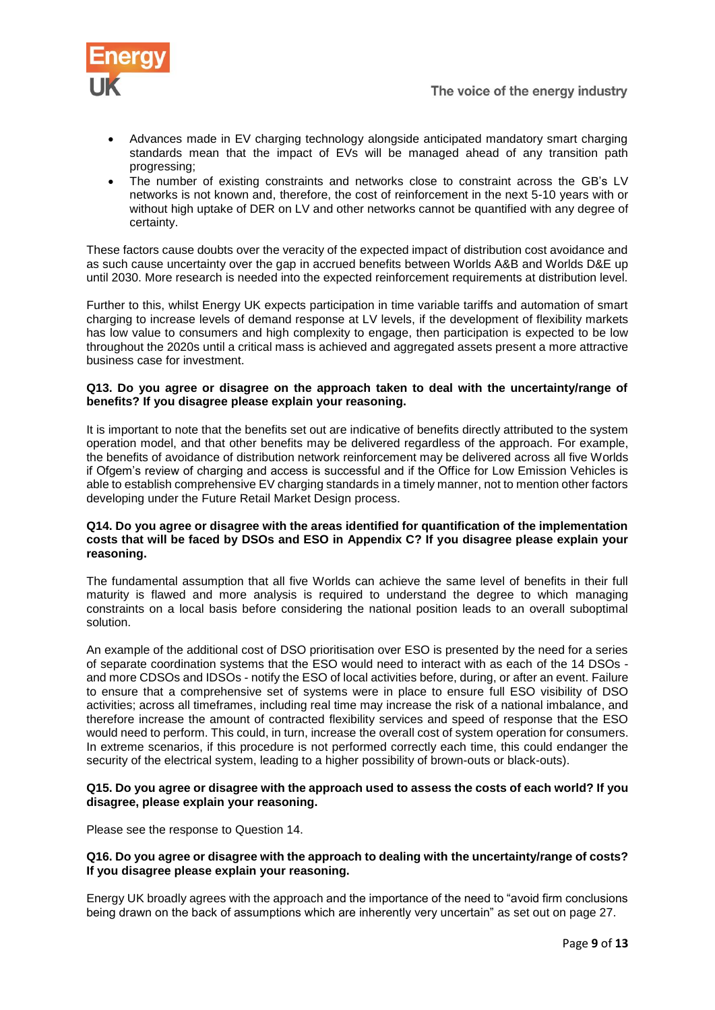- Advances made in EV charging technology alongside anticipated mandatory smart charging standards mean that the impact of EVs will be managed ahead of any transition path progressing;
- The number of existing constraints and networks close to constraint across the GB's LV networks is not known and, therefore, the cost of reinforcement in the next 5-10 years with or without high uptake of DER on LV and other networks cannot be quantified with any degree of certainty.

These factors cause doubts over the veracity of the expected impact of distribution cost avoidance and as such cause uncertainty over the gap in accrued benefits between Worlds A&B and Worlds D&E up until 2030. More research is needed into the expected reinforcement requirements at distribution level.

Further to this, whilst Energy UK expects participation in time variable tariffs and automation of smart charging to increase levels of demand response at LV levels, if the development of flexibility markets has low value to consumers and high complexity to engage, then participation is expected to be low throughout the 2020s until a critical mass is achieved and aggregated assets present a more attractive business case for investment.

# **Q13. Do you agree or disagree on the approach taken to deal with the uncertainty/range of benefits? If you disagree please explain your reasoning.**

It is important to note that the benefits set out are indicative of benefits directly attributed to the system operation model, and that other benefits may be delivered regardless of the approach. For example, the benefits of avoidance of distribution network reinforcement may be delivered across all five Worlds if Ofgem's review of charging and access is successful and if the Office for Low Emission Vehicles is able to establish comprehensive EV charging standards in a timely manner, not to mention other factors developing under the Future Retail Market Design process.

# **Q14. Do you agree or disagree with the areas identified for quantification of the implementation costs that will be faced by DSOs and ESO in Appendix C? If you disagree please explain your reasoning.**

The fundamental assumption that all five Worlds can achieve the same level of benefits in their full maturity is flawed and more analysis is required to understand the degree to which managing constraints on a local basis before considering the national position leads to an overall suboptimal solution.

An example of the additional cost of DSO prioritisation over ESO is presented by the need for a series of separate coordination systems that the ESO would need to interact with as each of the 14 DSOs and more CDSOs and IDSOs - notify the ESO of local activities before, during, or after an event. Failure to ensure that a comprehensive set of systems were in place to ensure full ESO visibility of DSO activities; across all timeframes, including real time may increase the risk of a national imbalance, and therefore increase the amount of contracted flexibility services and speed of response that the ESO would need to perform. This could, in turn, increase the overall cost of system operation for consumers. In extreme scenarios, if this procedure is not performed correctly each time, this could endanger the security of the electrical system, leading to a higher possibility of brown-outs or black-outs).

#### **Q15. Do you agree or disagree with the approach used to assess the costs of each world? If you disagree, please explain your reasoning.**

Please see the response to Question 14.

# **Q16. Do you agree or disagree with the approach to dealing with the uncertainty/range of costs? If you disagree please explain your reasoning.**

Energy UK broadly agrees with the approach and the importance of the need to "avoid firm conclusions being drawn on the back of assumptions which are inherently very uncertain" as set out on page 27.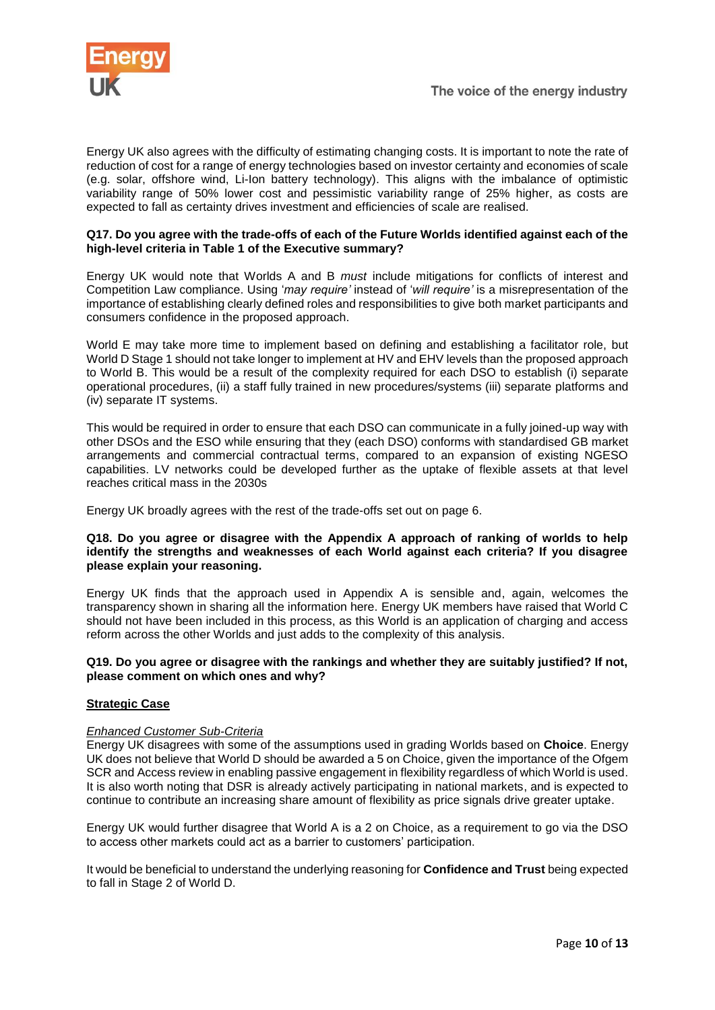

Energy UK also agrees with the difficulty of estimating changing costs. It is important to note the rate of reduction of cost for a range of energy technologies based on investor certainty and economies of scale (e.g. solar, offshore wind, Li-Ion battery technology). This aligns with the imbalance of optimistic variability range of 50% lower cost and pessimistic variability range of 25% higher, as costs are expected to fall as certainty drives investment and efficiencies of scale are realised.

### **Q17. Do you agree with the trade-offs of each of the Future Worlds identified against each of the high-level criteria in Table 1 of the Executive summary?**

Energy UK would note that Worlds A and B *must* include mitigations for conflicts of interest and Competition Law compliance. Using '*may require'* instead of '*will require'* is a misrepresentation of the importance of establishing clearly defined roles and responsibilities to give both market participants and consumers confidence in the proposed approach.

World E may take more time to implement based on defining and establishing a facilitator role, but World D Stage 1 should not take longer to implement at HV and EHV levels than the proposed approach to World B. This would be a result of the complexity required for each DSO to establish (i) separate operational procedures, (ii) a staff fully trained in new procedures/systems (iii) separate platforms and (iv) separate IT systems.

This would be required in order to ensure that each DSO can communicate in a fully joined-up way with other DSOs and the ESO while ensuring that they (each DSO) conforms with standardised GB market arrangements and commercial contractual terms, compared to an expansion of existing NGESO capabilities. LV networks could be developed further as the uptake of flexible assets at that level reaches critical mass in the 2030s

Energy UK broadly agrees with the rest of the trade-offs set out on page 6.

### **Q18. Do you agree or disagree with the Appendix A approach of ranking of worlds to help identify the strengths and weaknesses of each World against each criteria? If you disagree please explain your reasoning.**

Energy UK finds that the approach used in Appendix A is sensible and, again, welcomes the transparency shown in sharing all the information here. Energy UK members have raised that World C should not have been included in this process, as this World is an application of charging and access reform across the other Worlds and just adds to the complexity of this analysis.

#### **Q19. Do you agree or disagree with the rankings and whether they are suitably justified? If not, please comment on which ones and why?**

# **Strategic Case**

# *Enhanced Customer Sub-Criteria*

Energy UK disagrees with some of the assumptions used in grading Worlds based on **Choice**. Energy UK does not believe that World D should be awarded a 5 on Choice, given the importance of the Ofgem SCR and Access review in enabling passive engagement in flexibility regardless of which World is used. It is also worth noting that DSR is already actively participating in national markets, and is expected to continue to contribute an increasing share amount of flexibility as price signals drive greater uptake.

Energy UK would further disagree that World A is a 2 on Choice, as a requirement to go via the DSO to access other markets could act as a barrier to customers' participation.

It would be beneficial to understand the underlying reasoning for **Confidence and Trust** being expected to fall in Stage 2 of World D.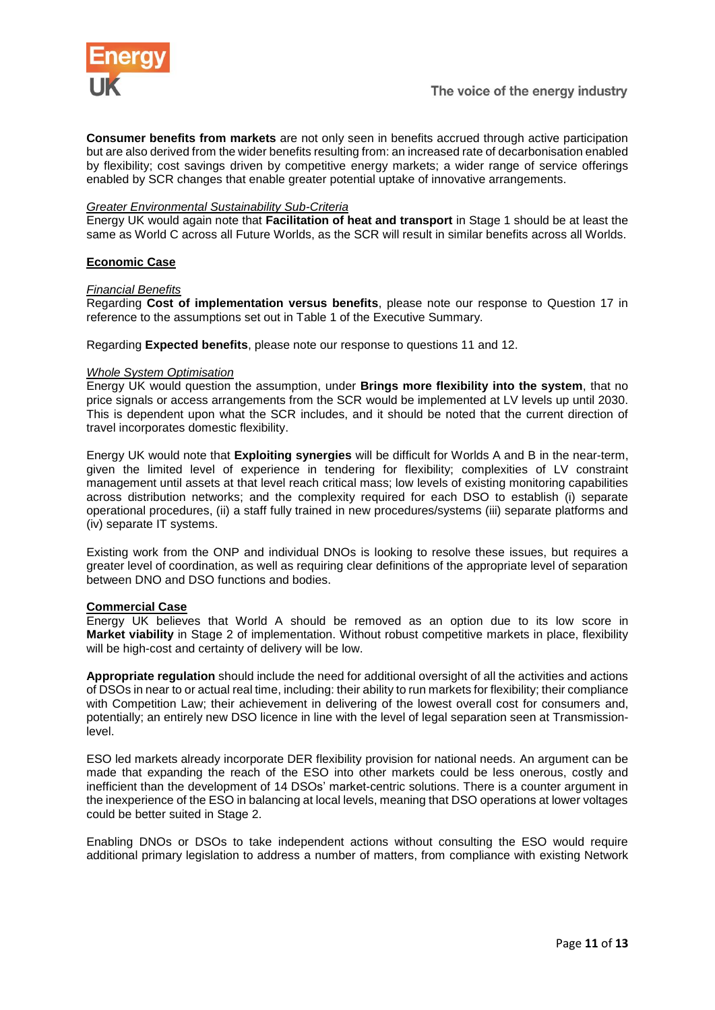

**Consumer benefits from markets** are not only seen in benefits accrued through active participation but are also derived from the wider benefits resulting from: an increased rate of decarbonisation enabled by flexibility; cost savings driven by competitive energy markets; a wider range of service offerings enabled by SCR changes that enable greater potential uptake of innovative arrangements.

#### *Greater Environmental Sustainability Sub-Criteria*

Energy UK would again note that **Facilitation of heat and transport** in Stage 1 should be at least the same as World C across all Future Worlds, as the SCR will result in similar benefits across all Worlds.

#### **Economic Case**

#### *Financial Benefits*

Regarding **Cost of implementation versus benefits**, please note our response to Question 17 in reference to the assumptions set out in Table 1 of the Executive Summary.

Regarding **Expected benefits**, please note our response to questions 11 and 12.

#### *Whole System Optimisation*

Energy UK would question the assumption, under **Brings more flexibility into the system**, that no price signals or access arrangements from the SCR would be implemented at LV levels up until 2030. This is dependent upon what the SCR includes, and it should be noted that the current direction of travel incorporates domestic flexibility.

Energy UK would note that **Exploiting synergies** will be difficult for Worlds A and B in the near-term, given the limited level of experience in tendering for flexibility; complexities of LV constraint management until assets at that level reach critical mass; low levels of existing monitoring capabilities across distribution networks; and the complexity required for each DSO to establish (i) separate operational procedures, (ii) a staff fully trained in new procedures/systems (iii) separate platforms and (iv) separate IT systems.

Existing work from the ONP and individual DNOs is looking to resolve these issues, but requires a greater level of coordination, as well as requiring clear definitions of the appropriate level of separation between DNO and DSO functions and bodies.

#### **Commercial Case**

Energy UK believes that World A should be removed as an option due to its low score in **Market viability** in Stage 2 of implementation. Without robust competitive markets in place, flexibility will be high-cost and certainty of delivery will be low.

**Appropriate regulation** should include the need for additional oversight of all the activities and actions of DSOs in near to or actual real time, including: their ability to run markets for flexibility; their compliance with Competition Law; their achievement in delivering of the lowest overall cost for consumers and, potentially; an entirely new DSO licence in line with the level of legal separation seen at Transmissionlevel.

ESO led markets already incorporate DER flexibility provision for national needs. An argument can be made that expanding the reach of the ESO into other markets could be less onerous, costly and inefficient than the development of 14 DSOs' market-centric solutions. There is a counter argument in the inexperience of the ESO in balancing at local levels, meaning that DSO operations at lower voltages could be better suited in Stage 2.

Enabling DNOs or DSOs to take independent actions without consulting the ESO would require additional primary legislation to address a number of matters, from compliance with existing Network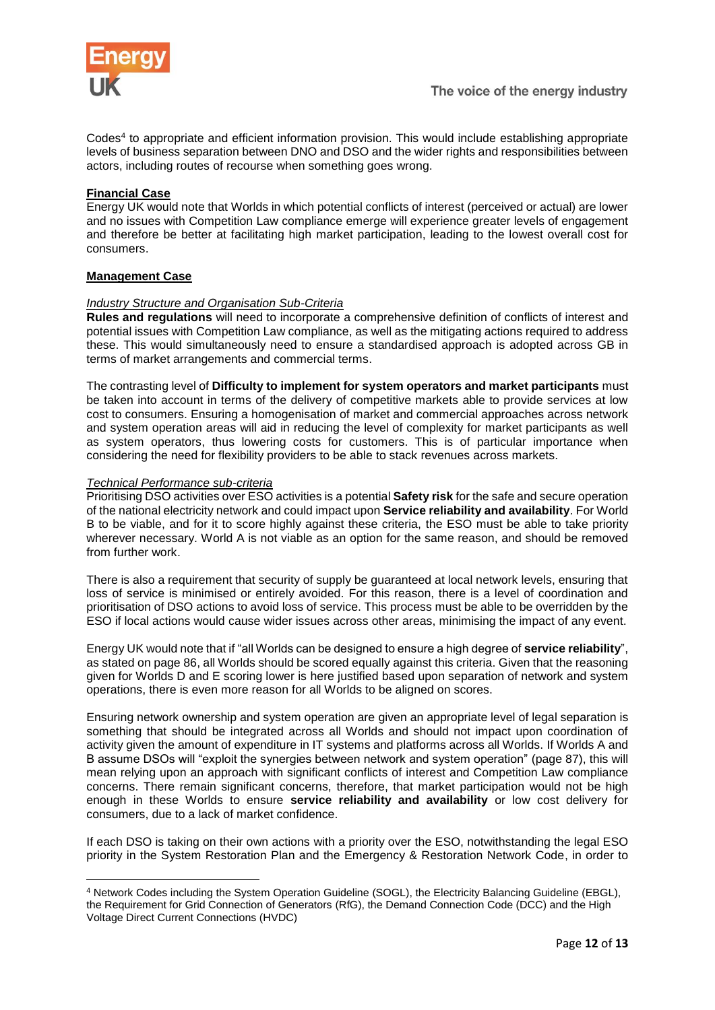

Codes<sup>4</sup> to appropriate and efficient information provision. This would include establishing appropriate levels of business separation between DNO and DSO and the wider rights and responsibilities between actors, including routes of recourse when something goes wrong.

# **Financial Case**

Energy UK would note that Worlds in which potential conflicts of interest (perceived or actual) are lower and no issues with Competition Law compliance emerge will experience greater levels of engagement and therefore be better at facilitating high market participation, leading to the lowest overall cost for consumers.

# **Management Case**

#### *Industry Structure and Organisation Sub-Criteria*

**Rules and regulations** will need to incorporate a comprehensive definition of conflicts of interest and potential issues with Competition Law compliance, as well as the mitigating actions required to address these. This would simultaneously need to ensure a standardised approach is adopted across GB in terms of market arrangements and commercial terms.

The contrasting level of **Difficulty to implement for system operators and market participants** must be taken into account in terms of the delivery of competitive markets able to provide services at low cost to consumers. Ensuring a homogenisation of market and commercial approaches across network and system operation areas will aid in reducing the level of complexity for market participants as well as system operators, thus lowering costs for customers. This is of particular importance when considering the need for flexibility providers to be able to stack revenues across markets.

#### *Technical Performance sub-criteria*

 $\overline{a}$ 

Prioritising DSO activities over ESO activities is a potential **Safety risk** for the safe and secure operation of the national electricity network and could impact upon **Service reliability and availability**. For World B to be viable, and for it to score highly against these criteria, the ESO must be able to take priority wherever necessary. World A is not viable as an option for the same reason, and should be removed from further work.

There is also a requirement that security of supply be guaranteed at local network levels, ensuring that loss of service is minimised or entirely avoided. For this reason, there is a level of coordination and prioritisation of DSO actions to avoid loss of service. This process must be able to be overridden by the ESO if local actions would cause wider issues across other areas, minimising the impact of any event.

Energy UK would note that if "all Worlds can be designed to ensure a high degree of **service reliability**", as stated on page 86, all Worlds should be scored equally against this criteria. Given that the reasoning given for Worlds D and E scoring lower is here justified based upon separation of network and system operations, there is even more reason for all Worlds to be aligned on scores.

Ensuring network ownership and system operation are given an appropriate level of legal separation is something that should be integrated across all Worlds and should not impact upon coordination of activity given the amount of expenditure in IT systems and platforms across all Worlds. If Worlds A and B assume DSOs will "exploit the synergies between network and system operation" (page 87), this will mean relying upon an approach with significant conflicts of interest and Competition Law compliance concerns. There remain significant concerns, therefore, that market participation would not be high enough in these Worlds to ensure **service reliability and availability** or low cost delivery for consumers, due to a lack of market confidence.

If each DSO is taking on their own actions with a priority over the ESO, notwithstanding the legal ESO priority in the System Restoration Plan and the Emergency & Restoration Network Code, in order to

<sup>4</sup> Network Codes including the System Operation Guideline (SOGL), the Electricity Balancing Guideline (EBGL), the Requirement for Grid Connection of Generators (RfG), the Demand Connection Code (DCC) and the High Voltage Direct Current Connections (HVDC)